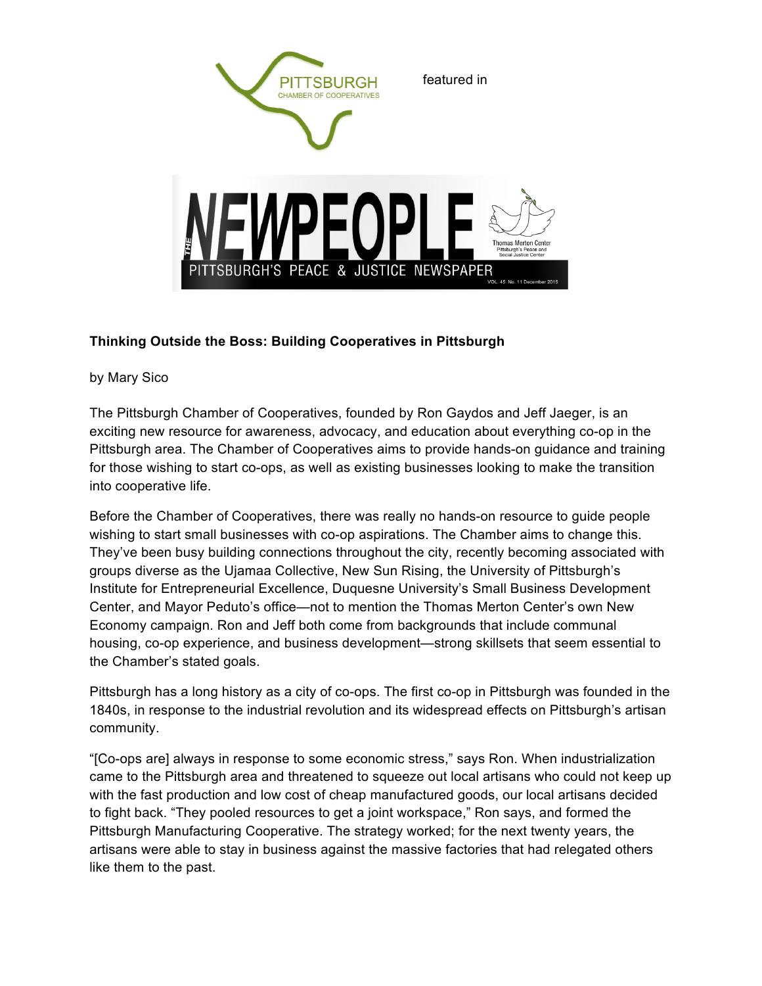

## **Thinking Outside the Boss: Building Cooperatives in Pittsburgh**

by Mary Sico

The Pittsburgh Chamber of Cooperatives, founded by Ron Gaydos and Jeff Jaeger, is an exciting new resource for awareness, advocacy, and education about everything co-op in the Pittsburgh area. The Chamber of Cooperatives aims to provide hands-on guidance and training for those wishing to start co-ops, as well as existing businesses looking to make the transition into cooperative life.

'S PEACE & JUSTICE NEWSPAPER

**Thomas Merton Cente** 

Before the Chamber of Cooperatives, there was really no hands-on resource to guide people wishing to start small businesses with co-op aspirations. The Chamber aims to change this. They've been busy building connections throughout the city, recently becoming associated with groups diverse as the Ujamaa Collective, New Sun Rising, the University of Pittsburgh's Institute for Entrepreneurial Excellence, Duquesne University's Small Business Development Center, and Mayor Peduto's office—not to mention the Thomas Merton Center's own New Economy campaign. Ron and Jeff both come from backgrounds that include communal housing, co-op experience, and business development—strong skillsets that seem essential to the Chamber's stated goals.

Pittsburgh has a long history as a city of co-ops. The first co-op in Pittsburgh was founded in the 1840s, in response to the industrial revolution and its widespread effects on Pittsburgh's artisan community.

"[Co-ops are] always in response to some economic stress," says Ron. When industrialization came to the Pittsburgh area and threatened to squeeze out local artisans who could not keep up with the fast production and low cost of cheap manufactured goods, our local artisans decided to fight back. "They pooled resources to get a joint workspace," Ron says, and formed the Pittsburgh Manufacturing Cooperative. The strategy worked; for the next twenty years, the artisans were able to stay in business against the massive factories that had relegated others like them to the past.